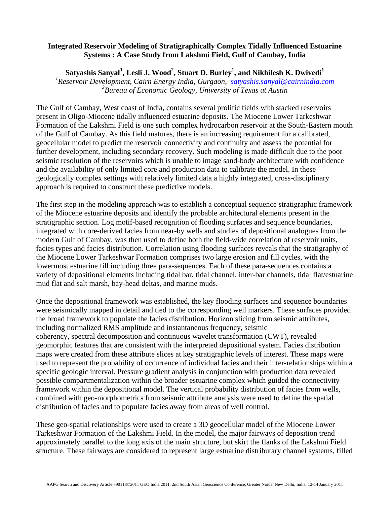## **Integrated Reservoir Modeling of Stratigraphically Complex Tidally Influenced Estuarine Systems : A Case Study from Lakshmi Field, Gulf of Cambay, India**

 $\mathbf{S}$ atyashis  $\mathbf{S}$ anyal $^{1}$ , Lesli J. Wood $^{2}$ , Stuart D. Burley $^{1}$ , and Nikhilesh K. Dwivedi $^{1}$ 

*1 Reservoir Development, Cairn Energy India, Gurgaon, satyashis.sanyal@cairnindia.com 2 Bureau of Economic Geology, University of Texas at Austin* 

The Gulf of Cambay, West coast of India, contains several prolific fields with stacked reservoirs present in Oligo-Miocene tidally influenced estuarine deposits. The Miocene Lower Tarkeshwar Formation of the Lakshmi Field is one such complex hydrocarbon reservoir at the South-Eastern mouth of the Gulf of Cambay. As this field matures, there is an increasing requirement for a calibrated, geocellular model to predict the reservoir connectivity and continuity and assess the potential for further development, including secondary recovery. Such modeling is made difficult due to the poor seismic resolution of the reservoirs which is unable to image sand-body architecture with confidence and the availability of only limited core and production data to calibrate the model. In these geologically complex settings with relatively limited data a highly integrated, cross-disciplinary approach is required to construct these predictive models.

The first step in the modeling approach was to establish a conceptual sequence stratigraphic framework of the Miocene estuarine deposits and identify the probable architectural elements present in the stratigraphic section. Log motif-based recognition of flooding surfaces and sequence boundaries, integrated with core-derived facies from near-by wells and studies of depositional analogues from the modern Gulf of Cambay, was then used to define both the field-wide correlation of reservoir units, facies types and facies distribution. Correlation using flooding surfaces reveals that the stratigraphy of the Miocene Lower Tarkeshwar Formation comprises two large erosion and fill cycles, with the lowermost estuarine fill including three para-sequences. Each of these para-sequences contains a variety of depositional elements including tidal bar, tidal channel, inter-bar channels, tidal flat/estuarine mud flat and salt marsh, bay-head deltas, and marine muds.

Once the depositional framework was established, the key flooding surfaces and sequence boundaries were seismically mapped in detail and tied to the corresponding well markers. These surfaces provided the broad framework to populate the facies distribution. Horizon slicing from seismic attributes, including normalized RMS amplitude and instantaneous frequency, seismic coherency, spectral decomposition and continuous wavelet transformation (CWT), revealed geomorphic features that are consistent with the interpreted depositional system. Facies distribution maps were created from these attribute slices at key stratigraphic levels of interest. These maps were used to represent the probability of occurrence of individual facies and their inter-relationships within a specific geologic interval. Pressure gradient analysis in conjunction with production data revealed possible compartmentalization within the broader estuarine complex which guided the connectivity framework within the depositional model. The vertical probability distribution of facies from wells, combined with geo-morphometrics from seismic attribute analysis were used to define the spatial distribution of facies and to populate facies away from areas of well control.

These geo-spatial relationships were used to create a 3D geocellular model of the Miocene Lower Tarkeshwar Formation of the Lakshmi Field. In the model, the major fairways of deposition trend approximately parallel to the long axis of the main structure, but skirt the flanks of the Lakshmi Field structure. These fairways are considered to represent large estuarine distributary channel systems, filled